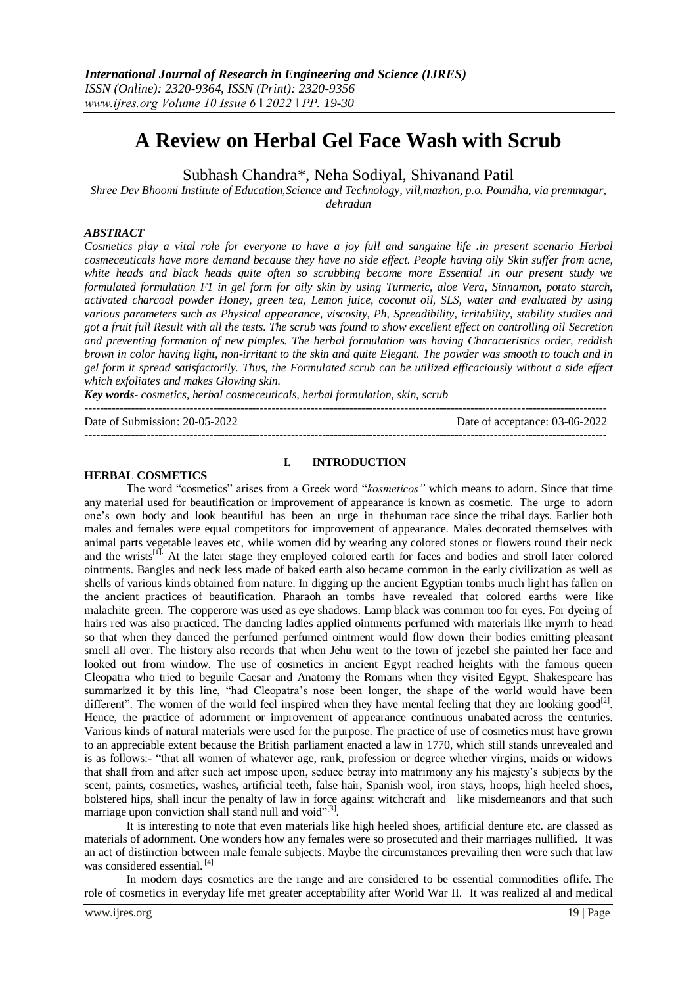# **A Review on Herbal Gel Face Wash with Scrub**

Subhash Chandra\*, Neha Sodiyal, Shivanand Patil

*Shree Dev Bhoomi Institute of Education,Science and Technology, vill,mazhon, p.o. Poundha, via premnagar, dehradun*

#### *ABSTRACT*

*Cosmetics play a vital role for everyone to have a joy full and sanguine life .in present scenario Herbal cosmeceuticals have more demand because they have no side effect. People having oily Skin suffer from acne, white heads and black heads quite often so scrubbing become more Essential .in our present study we formulated formulation F1 in gel form for oily skin by using Turmeric, aloe Vera, Sinnamon, potato starch, activated charcoal powder Honey, green tea, Lemon juice, coconut oil, SLS, water and evaluated by using various parameters such as Physical appearance, viscosity, Ph, Spreadibility, irritability, stability studies and got a fruit full Result with all the tests. The scrub was found to show excellent effect on controlling oil Secretion and preventing formation of new pimples. The herbal formulation was having Characteristics order, reddish brown in color having light, non-irritant to the skin and quite Elegant. The powder was smooth to touch and in gel form it spread satisfactorily. Thus, the Formulated scrub can be utilized efficaciously without a side effect which exfoliates and makes Glowing skin.*

*Key words- cosmetics, herbal cosmeceuticals, herbal formulation, skin, scrub*

Date of Submission: 20-05-2022 Date of acceptance: 03-06-2022

--------------------------------------------------------------------------------------------------------------------------------------

#### **HERBAL COSMETICS**

#### **I. INTRODUCTION**

--------------------------------------------------------------------------------------------------------------------------------------

The word "cosmetics" arises from a Greek word "*kosmeticos"* which means to adorn. Since that time any material used for beautification or improvement of appearance is known as cosmetic. The urge to adorn one's own body and look beautiful has been an urge in thehuman race since the tribal days. Earlier both males and females were equal competitors for improvement of appearance. Males decorated themselves with animal parts vegetable leaves etc, while women did by wearing any colored stones or flowers round their neck and the wrists<sup>[1]</sup>. At the later stage they employed colored earth for faces and bodies and stroll later colored ointments. Bangles and neck less made of baked earth also became common in the early civilization as well as shells of various kinds obtained from nature. In digging up the ancient Egyptian tombs much light has fallen on the ancient practices of beautification. Pharaoh an tombs have revealed that colored earths were like malachite green. The copperore was used as eye shadows. Lamp black was common too for eyes. For dyeing of hairs red was also practiced. The dancing ladies applied ointments perfumed with materials like myrrh to head so that when they danced the perfumed perfumed ointment would flow down their bodies emitting pleasant smell all over. The history also records that when Jehu went to the town of jezebel she painted her face and looked out from window. The use of cosmetics in ancient Egypt reached heights with the famous queen Cleopatra who tried to beguile Caesar and Anatomy the Romans when they visited Egypt. Shakespeare has summarized it by this line, "had Cleopatra's nose been longer, the shape of the world would have been different". The women of the world feel inspired when they have mental feeling that they are looking good<sup>[2]</sup>. Hence, the practice of adornment or improvement of appearance continuous unabated across the centuries. Various kinds of natural materials were used for the purpose. The practice of use of cosmetics must have grown to an appreciable extent because the British parliament enacted a law in 1770, which still stands unrevealed and is as follows:- "that all women of whatever age, rank, profession or degree whether virgins, maids or widows that shall from and after such act impose upon, seduce betray into matrimony any his majesty's subjects by the scent, paints, cosmetics, washes, artificial teeth, false hair, Spanish wool, iron stays, hoops, high heeled shoes, bolstered hips, shall incur the penalty of law in force against witchcraft and like misdemeanors and that such marriage upon conviction shall stand null and void"[3].

It is interesting to note that even materials like high heeled shoes, artificial denture etc. are classed as materials of adornment. One wonders how any females were so prosecuted and their marriages nullified. It was an act of distinction between male female subjects. Maybe the circumstances prevailing then were such that law was considered essential.<sup>[4]</sup>

In modern days cosmetics are the range and are considered to be essential commodities oflife. The role of cosmetics in everyday life met greater acceptability after World War II. It was realized al and medical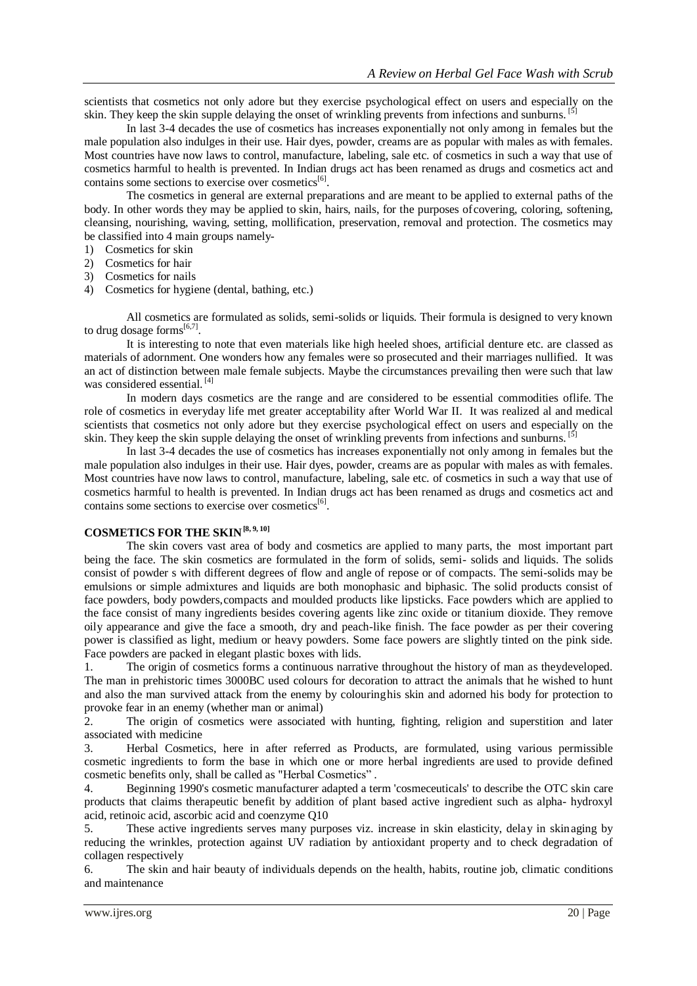scientists that cosmetics not only adore but they exercise psychological effect on users and especially on the skin. They keep the skin supple delaying the onset of wrinkling prevents from infections and sunburns. <sup>[5]</sup>

In last 3-4 decades the use of cosmetics has increases exponentially not only among in females but the male population also indulges in their use. Hair dyes, powder, creams are as popular with males as with females. Most countries have now laws to control, manufacture, labeling, sale etc. of cosmetics in such a way that use of cosmetics harmful to health is prevented. In Indian drugs act has been renamed as drugs and cosmetics act and contains some sections to exercise over cosmetics<sup>[6]</sup>.

The cosmetics in general are external preparations and are meant to be applied to external paths of the body. In other words they may be applied to skin, hairs, nails, for the purposes ofcovering, coloring, softening, cleansing, nourishing, waving, setting, mollification, preservation, removal and protection. The cosmetics may be classified into 4 main groups namely-

- 1) Cosmetics for skin
- 2) Cosmetics for hair
- 3) Cosmetics for nails
- 4) Cosmetics for hygiene (dental, bathing, etc.)

All cosmetics are formulated as solids, semi-solids or liquids. Their formula is designed to very known to drug dosage forms $^{[6,7]}$ .

It is interesting to note that even materials like high heeled shoes, artificial denture etc. are classed as materials of adornment. One wonders how any females were so prosecuted and their marriages nullified. It was an act of distinction between male female subjects. Maybe the circumstances prevailing then were such that law was considered essential. [4]

In modern days cosmetics are the range and are considered to be essential commodities oflife. The role of cosmetics in everyday life met greater acceptability after World War II. It was realized al and medical scientists that cosmetics not only adore but they exercise psychological effect on users and especially on the skin. They keep the skin supple delaying the onset of wrinkling prevents from infections and sunburns. <sup>[5]</sup>

In last 3-4 decades the use of cosmetics has increases exponentially not only among in females but the male population also indulges in their use. Hair dyes, powder, creams are as popular with males as with females. Most countries have now laws to control, manufacture, labeling, sale etc. of cosmetics in such a way that use of cosmetics harmful to health is prevented. In Indian drugs act has been renamed as drugs and cosmetics act and contains some sections to exercise over cosmetics<sup>[6]</sup>.

# **COSMETICS FOR THE SKIN[8, 9, 10]**

The skin covers vast area of body and cosmetics are applied to many parts, the most important part being the face. The skin cosmetics are formulated in the form of solids, semi- solids and liquids. The solids consist of powder s with different degrees of flow and angle of repose or of compacts. The semi-solids may be emulsions or simple admixtures and liquids are both monophasic and biphasic. The solid products consist of face powders, body powders,compacts and moulded products like lipsticks. Face powders which are applied to the face consist of many ingredients besides covering agents like zinc oxide or titanium dioxide. They remove oily appearance and give the face a smooth, dry and peach-like finish. The face powder as per their covering power is classified as light, medium or heavy powders. Some face powers are slightly tinted on the pink side. Face powders are packed in elegant plastic boxes with lids.

1. The origin of cosmetics forms a continuous narrative throughout the history of man as theydeveloped. The man in prehistoric times 3000BC used colours for decoration to attract the animals that he wished to hunt and also the man survived attack from the enemy by colouringhis skin and adorned his body for protection to provoke fear in an enemy (whether man or animal)

2. The origin of cosmetics were associated with hunting, fighting, religion and superstition and later associated with medicine

3. Herbal Cosmetics, here in after referred as Products, are formulated, using various permissible cosmetic ingredients to form the base in which one or more herbal ingredients are used to provide defined cosmetic benefits only, shall be called as "Herbal Cosmetics" .

4. Beginning 1990's cosmetic manufacturer adapted a term 'cosmeceuticals' to describe the OTC skin care products that claims therapeutic benefit by addition of plant based active ingredient such as alpha- hydroxyl acid, retinoic acid, ascorbic acid and coenzyme Q10

5. These active ingredients serves many purposes viz. increase in skin elasticity, delay in skinaging by reducing the wrinkles, protection against UV radiation by antioxidant property and to check degradation of collagen respectively

6. The skin and hair beauty of individuals depends on the health, habits, routine job, climatic conditions and maintenance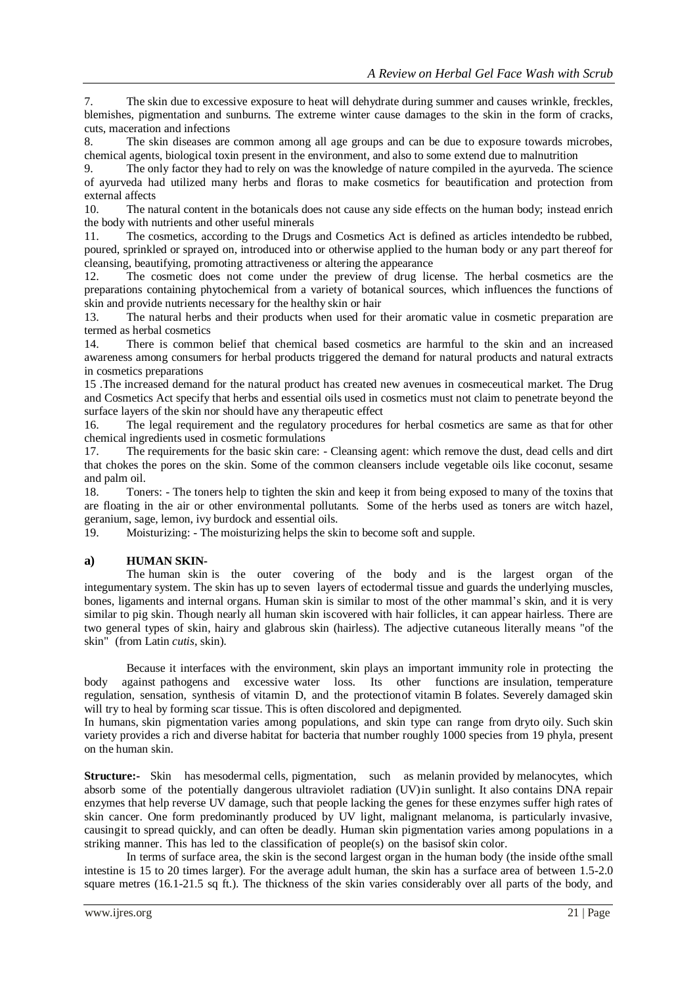7. The skin due to excessive exposure to heat will dehydrate during summer and causes wrinkle, freckles, blemishes, pigmentation and sunburns. The extreme winter cause damages to the skin in the form of cracks, cuts, maceration and infections

8. The skin diseases are common among all age groups and can be due to exposure towards microbes, chemical agents, biological toxin present in the environment, and also to some extend due to malnutrition

9. The only factor they had to rely on was the knowledge of nature compiled in the ayurveda. The science of ayurveda had utilized many herbs and floras to make cosmetics for beautification and protection from external affects

10. The natural content in the botanicals does not cause any side effects on the human body; instead enrich the body with nutrients and other useful minerals

11. The cosmetics, according to the Drugs and Cosmetics Act is defined as articles intendedto be rubbed, poured, sprinkled or sprayed on, introduced into or otherwise applied to the human body or any part thereof for cleansing, beautifying, promoting attractiveness or altering the appearance

12. The cosmetic does not come under the preview of drug license. The herbal cosmetics are the preparations containing phytochemical from a variety of botanical sources, which influences the functions of skin and provide nutrients necessary for the healthy skin or hair

13. The natural herbs and their products when used for their aromatic value in cosmetic preparation are termed as herbal cosmetics

14. There is common belief that chemical based cosmetics are harmful to the skin and an increased awareness among consumers for herbal products triggered the demand for natural products and natural extracts in cosmetics preparations

15 .The increased demand for the natural product has created new avenues in cosmeceutical market. The Drug and Cosmetics Act specify that herbs and essential oils used in cosmetics must not claim to penetrate beyond the surface layers of the skin nor should have any therapeutic effect

16. The legal requirement and the regulatory procedures for herbal cosmetics are same as that for other chemical ingredients used in cosmetic formulations

17. The requirements for the basic skin care: - Cleansing agent: which remove the dust, dead cells and dirt that chokes the pores on the skin. Some of the common cleansers include vegetable oils like coconut, sesame and palm oil.

18. Toners: - The toners help to tighten the skin and keep it from being exposed to many of the toxins that are floating in the air or other environmental pollutants. Some of the herbs used as toners are witch hazel, geranium, sage, lemon, ivy burdock and essential oils.

19. Moisturizing: - The moisturizing helps the skin to become soft and supple.

#### **a) HUMAN SKIN-**

The human skin is the outer covering of the body and is the largest organ of the [integumentary system.](https://en.wikipedia.org/wiki/Integumentary_system) The skin has up to seven layers of [ectodermal tissue a](https://en.wikipedia.org/wiki/Ectodermal)nd guards the underlying [muscles,](https://en.wikipedia.org/wiki/Muscle)  [bones,](https://en.wikipedia.org/wiki/Muscle) [ligaments a](https://en.wikipedia.org/wiki/Ligament)nd [internal organs.](https://en.wikipedia.org/wiki/Organ_(anatomy)) Human skin is similar to most of the other [mammal's s](https://en.wikipedia.org/wiki/Mammals)kin, and it is very similar to [pig s](https://en.wikipedia.org/wiki/Pig)kin. Though nearly all human skin iscovered with [hair follicles,](https://en.wikipedia.org/wiki/Hair_follicle) it can appear hairless. There are two general types of skin, hairy and [glabrous](https://en.wikipedia.org/wiki/Glabrous_skin) skin (hairless). The adjective cutaneous literally means "of the skin" (from Latin *cutis*, skin).

Because it interfaces with the environment, skin plays an important [immunity r](https://en.wikipedia.org/wiki/Immunity_(medical))ole in protecting the body against [pathogens a](https://en.wikipedia.org/wiki/Pathogen)nd excessive [water loss.](https://en.wikipedia.org/wiki/Transepidermal_water_loss) Its other functions are [insulation,](https://en.wikipedia.org/wiki/Thermal_insulation) [temperature](https://en.wikipedia.org/wiki/Thermoregulation) [regulation,](https://en.wikipedia.org/wiki/Thermoregulation) sensation, synthesis of [vitamin](https://en.wikipedia.org/wiki/Vitamin_D) D, and the protectionof [vitamin B f](https://en.wikipedia.org/wiki/Vitamin_B)olates. Severely damaged skin will try to heal by forming [scar tissue.](https://en.wikipedia.org/wiki/Scar) This is often discolored and depigmented.

In humans, skin [pigmentation v](https://en.wikipedia.org/wiki/Human_skin_color)aries among populations, and skin type can range from [dryt](https://en.wikipedia.org/wiki/Dry_skin)o [oily. S](https://en.wikipedia.org/wiki/Sebaceous_gland#sebum)uch skin variety provides a rich and diverse habitat for [bacteria t](https://en.wikipedia.org/wiki/Bacteria)hat number roughly 1000 species from 19 [phyla,](https://en.wikipedia.org/wiki/Phylum) present on the human skin.

**Structure:-** Skin has [mesodermal c](https://en.wikipedia.org/wiki/Mesoderm)ells, [pigmentation,](https://en.wikipedia.org/wiki/Biological_pigment) such as [melanin p](https://en.wikipedia.org/wiki/Melanin)rovided by [melanocytes,](https://en.wikipedia.org/wiki/Melanocyte) which absorb some of the potentially dangerous [ultraviolet](https://en.wikipedia.org/wiki/Ultraviolet_radiation) radiation (UV)in [sunlight.](https://en.wikipedia.org/wiki/Sunlight) It also contains [DNA repair](https://en.wikipedia.org/wiki/DNA_repair)  [enzymes t](https://en.wikipedia.org/wiki/DNA_repair)hat help reverse UV damage, such that people lacking th[e genes f](https://en.wikipedia.org/wiki/Gene)or these enzymes suffer high rates of skin [cancer.](https://en.wikipedia.org/wiki/Skin_cancer) One form predominantly produced by UV light, [malignant melanoma,](https://en.wikipedia.org/wiki/Malignant) is particularly invasive, causingit t[o spread q](https://en.wikipedia.org/wiki/Metastasize)uickly, and can often be deadly. Human skin pigmentation varies among populations in a striking manner. This has led to the classification of people(s) on the basisof skin [color.](https://en.wikipedia.org/wiki/Human_skin_color)

In terms of surface area, the skin is the second largest organ in the human body (the inside ofthe small intestine is 15 to 20 times larger). For the average adult human, the skin has a surface area of between 1.5-2.0 square metres (16.1-21.5 sq ft.). The thickness of the skin varies considerably over all parts of the body, and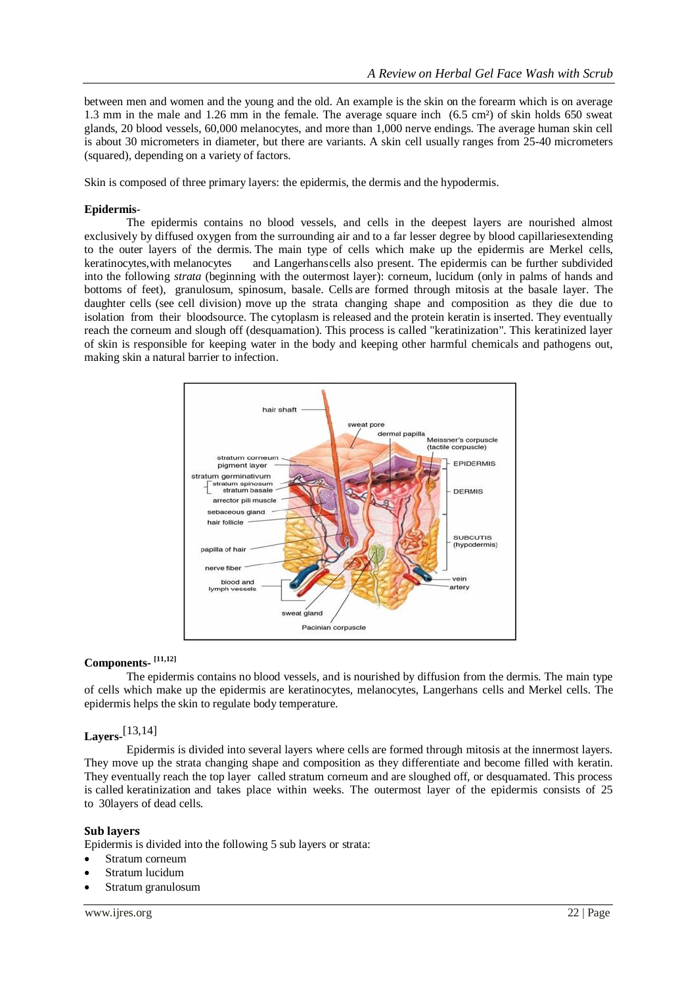between men and women and the young and the old. An example is the skin on the forearm which is on average 1.3 mm in the male and 1.26 mm in the female. The average square inch (6.5 cm²) of skin holds 650 sweat glands, 20 blood vessels, 60,000 melanocytes, and more than 1,000 nerve endings. The average human skin cell is about 30 micrometers in diameter, but there are variants. A skin cell usually ranges from 25-40 micrometers (squared), depending on a variety of factors.

Skin is composed of three primary layers: the [epidermis,](https://en.wikipedia.org/wiki/Epidermis_(skin)) the [dermis a](https://en.wikipedia.org/wiki/Dermis)nd the [hypodermis.](https://en.wikipedia.org/wiki/Hypodermis)

#### **Epidermis**-

The epidermis contains no blood vessels, and cells in the deepest layers are nourished almost exclusively by diffused oxygen from the surrounding air and to a far lesser degree by blood capillariesextending to the outer layers of the dermis. The main type of cells which make up the epidermis are Merkel cells, keratinocytes,with melanocytes and Langerhanscells also present. The epidermis can be further subdivided into the following *strata* (beginning with the outermost layer): corneum, lucidum (only in palms of hands and bottoms of feet), granulosum, spinosum, basale. Cells are formed through mitosis at the basale layer. The daughter cells (see cell division) move up the strata changing shape and composition as they die due to isolation from their bloodsource. The cytoplasm is released and the protein keratin is inserted. They eventually reach the corneum and slough off (desquamation). This process is called "keratinization". This keratinized layer of skin is responsible for keeping water in the body and keeping other harmful chemicals and pathogens out, making skin a natural barrier to infection.



### **Components- [11,12]**

The epidermis contains no blood vessels, and is nourished by diffusion from the dermis. The main type of cells which make up the epidermis are keratinocytes, melanocytes, Langerhans cells and Merkel cells. The epidermis helps the skin to regulate body temperature.

# **Layers-** [13,14]

Epidermis is divided into several layers where cells are formed through mitosis at the innermost layers. They move up the strata changing shape and composition as they differentiate and become filled with keratin. They eventually reach the top layer called stratum corneum and are sloughed off, or desquamated. This process is called keratinization and takes place within weeks. The outermost layer of the epidermis consists of 25 to 30layers of dead cells.

#### **Sub layers**

Epidermis is divided into the following 5 sub layers or strata:

- Stratum [corneum](https://en.wikipedia.org/wiki/Stratum_corneum)
- Stratum [lucidum](https://en.wikipedia.org/wiki/Stratum_lucidum)
- Stratum [granulosum](https://en.wikipedia.org/wiki/Stratum_granulosum)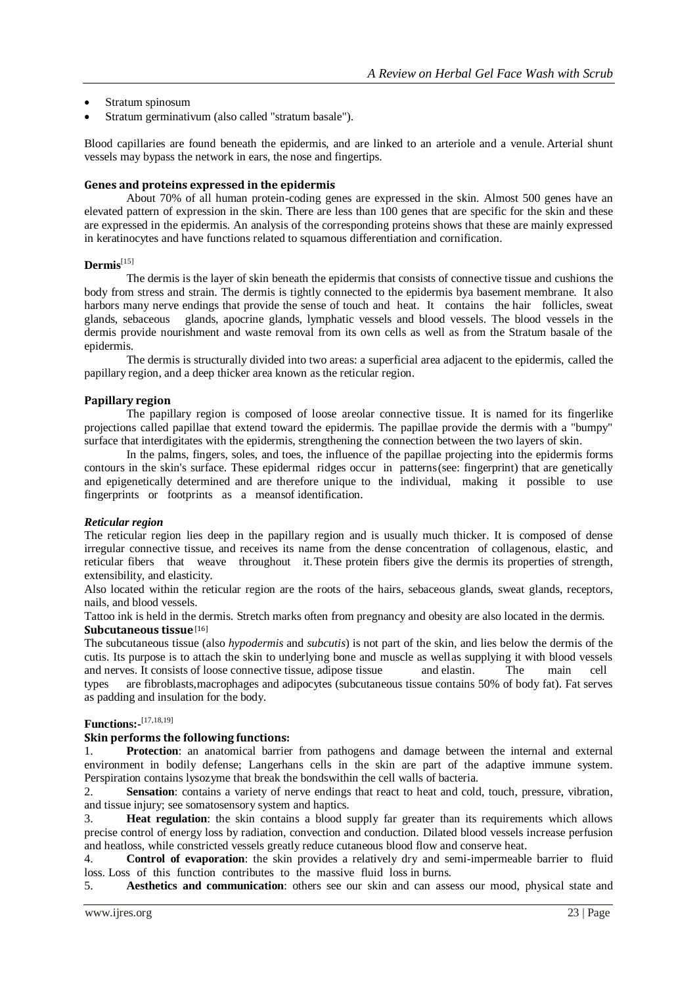- Stratum [spinosum](https://en.wikipedia.org/wiki/Stratum_spinosum)
- Stratum [germinativum](https://en.wikipedia.org/wiki/Stratum_germinativum) (also called "stratum basale").

Blood capillaries are found beneath the epidermis, and are linked to an arteriole and a venule. Arterial shunt vessels may bypass the network in ears, the nose and fingertips.

#### **Genes and proteins expressed in the epidermis**

About 70% of all human protein-coding genes are expressed in the skin. Almost 500 genes have an elevated pattern of expression in the skin. There are less than 100 genes that are specific for the skin and these are expressed in the epidermis. An analysis of the corresponding proteins shows that these are mainly expressed in [keratinocytes a](https://en.wikipedia.org/wiki/Keratinocyte)nd have functions related to [squamous d](https://en.wikipedia.org/wiki/Squamous)ifferentiation and [cornification.](https://en.wikipedia.org/wiki/Keratin)

## **Dermis**[15]

The dermis is the layer of skin beneath th[e epidermis t](https://en.wikipedia.org/wiki/Epidermis_(skin))hat consists of [connective tissue a](https://en.wikipedia.org/wiki/Connective_tissue)nd cushions the body from stress and strain. The dermis is tightly connected to the epidermis bya [basement membrane.](https://en.wikipedia.org/wiki/Basement_membrane) It also harbors many [nerve endings t](https://en.wikipedia.org/wiki/Mechanoreceptor)hat provide the sense of touch and heat. It contains the [hair follicles,](https://en.wikipedia.org/wiki/Hair_follicles) sweat [glands,](https://en.wikipedia.org/wiki/Sweat_glands) [sebaceous glands, apocrine](https://en.wikipedia.org/wiki/Sebaceous_glands) [glands,](https://en.wikipedia.org/wiki/Apocrine_glands) [lymphatic](https://en.wikipedia.org/wiki/Lymphatic_vessels) vessels and blood [vessels.](https://en.wikipedia.org/wiki/Blood_vessels) The blood vessels in the dermis provide nourishment and waste removal from its own cells as well as from the Stratum basale of the epidermis.

The dermis is structurally divided into two areas: a superficial area adjacent to the epidermis, called the papillary region, and a deep thicker area known as the reticular region.

#### **Papillary region**

The papillary region is composed of loose [areolar connective tissue.](https://en.wikipedia.org/wiki/Areolar_connective_tissue) It is named for its fingerlike projections called papillae that extend toward the epidermis. The papillae provide the dermis with a "bumpy" surface that interdigitates with the epidermis, strengthening the connection between the two layers of skin.

In the palms, fingers, soles, and toes, the influence of the papillae projecting into the epidermis forms contours in the skin's surface. These [epidermal](https://en.wikipedia.org/wiki/Epidermal_ridges) ridges occur in patterns(see: [fingerprint\)](https://en.wikipedia.org/wiki/Fingerprint) that are genetically and [epigenetically d](https://en.wikipedia.org/wiki/Epigenetic)etermined and are therefore unique to the individual, making it possible to use fingerprints or footprints as a meansof [identification.](https://en.wikipedia.org/wiki/Forensic_identification)

#### *Reticular region*

The reticular region lies deep in the papillary region and is usually much thicker. It is composed of dense irregular connective tissue, and receives its name from the dense concentration of [collagenous,](https://en.wikipedia.org/wiki/Collagenous) [elastic,](https://en.wikipedia.org/wiki/Elastin) and [reticular f](https://en.wikipedia.org/wiki/Reticular_fiber)ibers that weave throughout it.These [protein](https://en.wikipedia.org/wiki/Protein) fibers give the dermis its properties of strength, extensibility, and elasticity.

Also located within the reticular region are the [roots of the hairs,](https://en.wikipedia.org/wiki/Hair#Root_of_the_hair) [sebaceous glands,](https://en.wikipedia.org/wiki/Sebaceous_glands) [sweat](https://en.wikipedia.org/wiki/Sweat_glands) [glands,](https://en.wikipedia.org/wiki/Sweat_glands) [receptors,](https://en.wikipedia.org/wiki/Cutaneous_receptor) [nails,](https://en.wikipedia.org/wiki/Nail_(anatomy)) and blood vessels.

Tattoo ink is held in the dermis. [Stretch marks o](https://en.wikipedia.org/wiki/Stretch_marks)ften from pregnancy and [obesity](https://en.wikipedia.org/wiki/Obesity) are also located in the dermis. **Subcutaneous tissue**[16]

The [subcutaneous tissue \(](https://en.wikipedia.org/wiki/Subcutaneous_tissue)also *hypodermis* and *subcutis*) is not part of the skin, and lies below the dermis of the [cutis. I](https://en.wikipedia.org/wiki/Cutis_(anatomy))ts purpose is to attach the skin to underlying bone and [muscle a](https://en.wikipedia.org/wiki/Muscle)s wellas supplying it with blood vessels and nerves. It consists of loose connective tissue, adipose tissue and [elastin.](https://en.wikipedia.org/wiki/Elastin) The main cell types are [fibroblasts,](https://en.wikipedia.org/wiki/Fibroblast)[macrophages a](https://en.wikipedia.org/wiki/Macrophage)nd [adipocytes \(](https://en.wikipedia.org/wiki/Adipocyte)subcutaneous tissue contains 50% of body fat). Fat serves as padding and insulation for the body.

# **Functions:-** [17,18,19]

#### **Skin performs the following functions:**

1. **Protection**: an anatomical barrier from pathogens and damage between the internal and external environment in bodily defense; [Langerhans cells i](https://en.wikipedia.org/wiki/Langerhans_cell)n the skin are part of the [adaptive](https://en.wikipedia.org/wiki/Adaptive_immune_system) immune system. Perspiration contain[s lysozyme t](https://en.wikipedia.org/wiki/Lysozyme)hat break the bondswithin the cell walls of bacteria.

2. **[Sensation](https://en.wiktionary.org/wiki/sensation)**: contains a variety of nerve endings that react to [heat and cold,](https://en.wikipedia.org/wiki/Thermoreceptor) touch, pressure, vibration, and tissue injury; see [somatosensory](https://en.wikipedia.org/wiki/Somatosensory_system) system an[d haptics.](https://en.wikipedia.org/wiki/Hapticity)

3. **Heat regulation**: the skin contains a blood supply far greater than its requirements which allows precise control of energy loss by radiation, convection and conduction. Dilated blood vessels increase perfusion and heatloss, while constricted vessels greatly reduce cutaneous blood flow and conserve heat.

4. **Control of evaporation**: the skin provides a relatively dry and semi-impermeable barrier to fluid loss. Loss of this function contributes to the massive fluid loss in [burns.](https://en.wikipedia.org/wiki/Burn_(injury))

5. **Aesthetics and communication**: others see our skin and can assess our mood, physical state and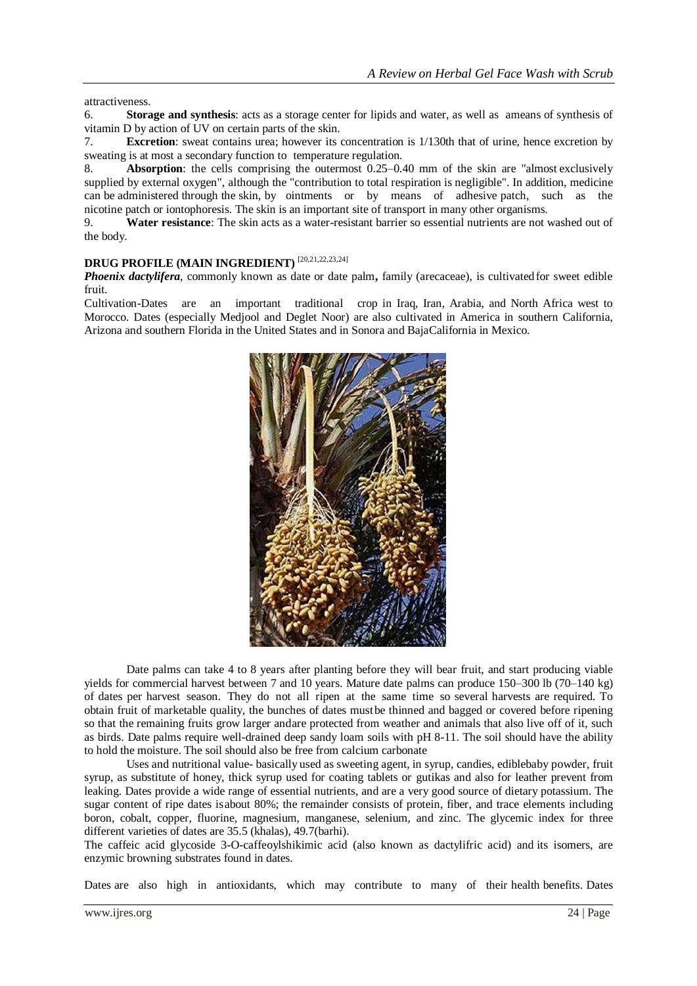attractiveness.

6. **Storage and synthesis**: acts as a storage center for lipids and water, as well as ameans of synthesis of [vitamin](https://en.wikipedia.org/wiki/Vitamin_D) D by action of [UV o](https://en.wikipedia.org/wiki/Ultraviolet)n certain parts of the skin.

7. **Excretion**: [sweat c](https://en.wikipedia.org/wiki/Sweat)ontains [urea;](https://en.wikipedia.org/wiki/Urea) however its concentration is 1/130th that of [urine,](https://en.wikipedia.org/wiki/Urine) hence [excretion b](https://en.wikipedia.org/wiki/Excretion)y sweating is at most a secondary function to temperature regulation.

8. **Absorption**: the cells comprising the outermost 0.25–0.40 mm of the skin are "almost exclusively supplied by external oxygen", although the "contribution to total respiration is negligible". In addition, medicine can be administered through the skin, by ointments or by means of adhesive [patch,](https://en.wikipedia.org/wiki/Transdermal_patch) such as the [nicotine](https://en.wikipedia.org/wiki/Nicotine_patch) [patch o](https://en.wikipedia.org/wiki/Nicotine_patch)r [iontophoresis.](https://en.wikipedia.org/wiki/Iontophoresis) The skin is an important site of transport in many other organisms.

9. **Water resistance**: The skin acts as a water-resistant barrier so essential nutrients are not washed out of the body.

# **DRUG PROFILE (MAIN INGREDIENT)** [20,21,22,23,24]

*Phoenix dactylifera*, commonly known as date or date palm, family (arecaceae), is cultivated for sweet edible fruit.

Cultivation-Dates are an important traditional crop in Iraq, Iran, Arabia, and North Africa west to Morocco. Dates (especially Medjool and Deglet Noor) are also cultivated in America in southern California, Arizona and southern Florida in the United States and in Sonora and BajaCalifornia in Mexico.



Date palms can take 4 to 8 years after planting before they will bear fruit, and start producing viable yields for commercial harvest between 7 and 10 years. Mature date palms can produce 150–300 lb (70–140 kg) of dates per harvest season. They do not all ripen at the same time so several harvests are required. To obtain fruit of marketable quality, the bunches of dates mustbe thinned and bagged or covered before ripening so that the remaining fruits grow larger andare protected from weather and animals that also live off of it, such as birds. Date palms require well-drained deep sandy loam soils with pH 8-11. The soil should have the ability to hold the moisture. The soil should also be free from calcium carbonate

Uses and nutritional value- basically used as sweeting agent, in syrup, candies, ediblebaby powder, fruit syrup, as substitute of honey, thick syrup used for coating tablets or gutikas and also for leather prevent from leaking. Dates provide a wide range of essential nutrients, and are a very good source of dietary potassium. The sugar content of ripe dates isabout 80%; the remainder consists of protein, fiber, and trace elements including boron, cobalt, copper, fluorine, magnesium, manganese, selenium, and zinc. The glycemic index for three different varieties of dates are 35.5 (khalas), 49.7(barhi).

The caffeic acid glycoside 3-O-caffeoylshikimic acid (also known as dactylifric acid) and its isomers, are enzymic browning substrates found in dates.

Dates are also high in antioxidants, which may contribute to many of their health benefits. Dates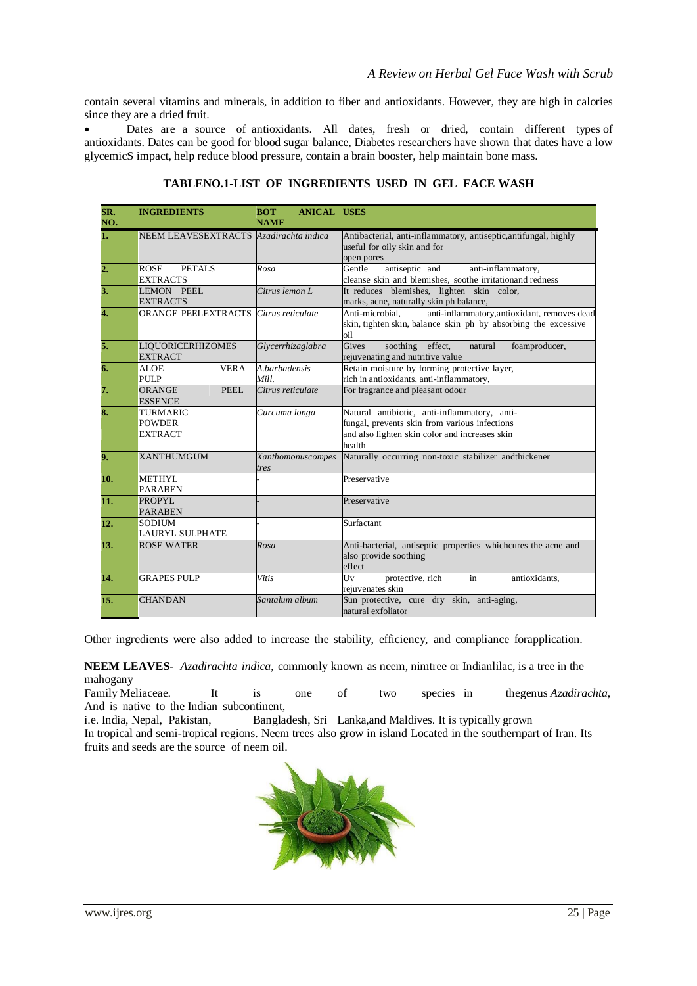contain several vitamins and minerals, in addition to fiber and antioxidants. However, they are high in calories since they are a dried fruit.

 Dates are a source of antioxidants. All dates, fresh or dried, contain different types of antioxidants. Dates can be good for blood sugar balance, Diabetes researchers have shown that dates have a low glycemicS impact, help reduce blood pressure, contain a brain booster, help maintain bone mass.

| SR.               | <b>INGREDIENTS</b>                           | <b>ANICAL USES</b><br><b>BOT</b> |                                                                       |
|-------------------|----------------------------------------------|----------------------------------|-----------------------------------------------------------------------|
| NO.               |                                              | <b>NAME</b>                      |                                                                       |
| 1.                | NEEM LEAVESEXTRACTS Azadirachta indica       |                                  | Antibacterial, anti-inflammatory, antiseptic, antifungal, highly      |
|                   |                                              |                                  | useful for oily skin and for                                          |
|                   |                                              |                                  | open pores                                                            |
| $\overline{2}$ .  | PETALS<br>ROSE                               | Rosa                             | antiseptic and<br>Gentle<br>anti-inflammatory,                        |
|                   | <b>EXTRACTS</b>                              |                                  | cleanse skin and blemishes, soothe irritationand redness              |
| 3.                | LEMON PEEL                                   | Citrus lemon L                   | It reduces blemishes, lighten skin color,                             |
|                   | <b>EXTRACTS</b>                              |                                  | marks, acne, naturally skin ph balance,                               |
| 4.                | <b>ORANGE PEELEXTRACTS</b> Citrus reticulate |                                  | Anti-microbial,<br>anti-inflammatory, antioxidant, removes dead       |
|                   |                                              |                                  | skin, tighten skin, balance skin ph by absorbing the excessive<br>oil |
| 5.                | LIQUORICERHIZOMES                            | Glycerrhizaglabra                | Gives<br>soothing effect,<br>natural<br>foamproducer,                 |
|                   | <b>EXTRACT</b>                               |                                  | rejuvenating and nutritive value                                      |
| 6.                | <b>VERA</b><br>ALOE                          | A.barbadensis                    | Retain moisture by forming protective layer,                          |
|                   | PULP                                         | Mill.                            | rich in antioxidants, anti-inflammatory,                              |
| 7.                | <b>PEEL</b><br><b>ORANGE</b>                 | Citrus reticulate                | For fragrance and pleasant odour                                      |
|                   | <b>ESSENCE</b>                               |                                  |                                                                       |
| 8.                | TURMARIC                                     | Curcuma longa                    | Natural antibiotic, anti-inflammatory, anti-                          |
|                   | POWDER                                       |                                  | fungal, prevents skin from various infections                         |
|                   | <b>EXTRACT</b>                               |                                  | and also lighten skin color and increases skin                        |
|                   |                                              |                                  | health                                                                |
| 9.                | <b>XANTHUMGUM</b>                            | Xanthomonuscompes                | Naturally occurring non-toxic stabilizer andthickener                 |
|                   |                                              | tres                             |                                                                       |
| 10.               | <b>METHYL</b>                                |                                  | Preservative                                                          |
|                   | <b>PARABEN</b>                               |                                  |                                                                       |
| 11.               | <b>PROPYL</b>                                |                                  | Preservative                                                          |
|                   | <b>PARABEN</b>                               |                                  |                                                                       |
| 12.               | <b>SODIUM</b>                                |                                  | Surfactant                                                            |
|                   | LAURYL SULPHATE                              |                                  |                                                                       |
| 13.               | <b>ROSE WATER</b>                            | Rosa                             | Anti-bacterial, antiseptic properties whichcures the acne and         |
|                   |                                              |                                  | also provide soothing                                                 |
|                   |                                              |                                  | effect                                                                |
| $\overline{14}$ . | <b>GRAPES PULP</b>                           | Vitis                            | protective, rich<br>antioxidants,<br>Uv<br>in                         |
|                   | <b>CHANDAN</b>                               | Santalum album                   | rejuvenates skin                                                      |
| 15.               |                                              |                                  | Sun protective, cure dry skin, anti-aging,<br>natural exfoliator      |
|                   |                                              |                                  |                                                                       |

### **TABLENO.1-LIST OF INGREDIENTS USED IN GEL FACE WASH**

Other ingredients were also added to increase the stability, efficiency, and compliance forapplication.

**NEEM LEAVES-** *Azadirachta indica*, commonly known as neem, nimtree or Indianlilac, is a tree in the [mahogany](https://en.wikipedia.org/wiki/Mahogany)

Family [Meliaceae.](https://en.wikipedia.org/wiki/Meliaceae) It is one of two species in thegenus *[Azadirachta](https://en.wikipedia.org/wiki/Azadirachta)*, And is native to the Indian [subcontinent,](https://en.wikipedia.org/wiki/Indian_subcontinent)

i.e. [India,](https://en.wikipedia.org/wiki/India) [Nepal,](https://en.wikipedia.org/wiki/Nepal) [Pakistan,](https://en.wikipedia.org/wiki/Pakistan) [Bangladesh, S](https://en.wikipedia.org/wiki/Bangladesh)ri [Lanka,](https://en.wikipedia.org/wiki/Bangladesh) and [Maldives.](https://en.wikipedia.org/wiki/Maldives) It is typically grown In [tropical](https://en.wikipedia.org/wiki/Tropical) and semi-tropical regions. Neem trees also grow in island Located in the southernpart of [Iran.](https://en.wikipedia.org/wiki/Iran) Its fruits and seeds are the source of [neem oil.](https://en.wikipedia.org/wiki/Neem_oil)

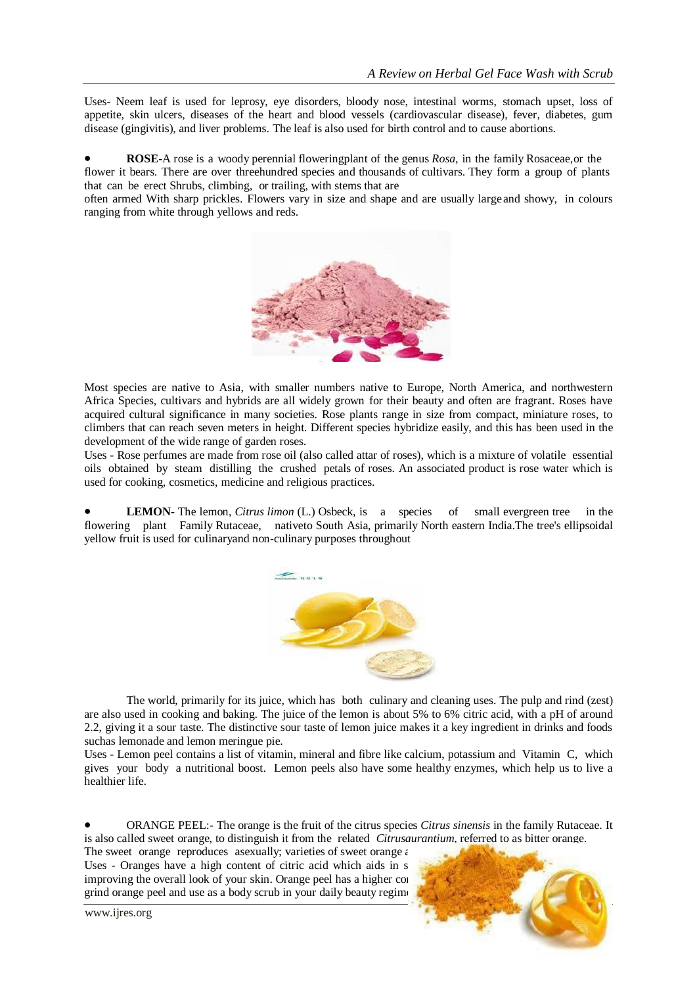Uses- Neem leaf is used for leprosy, eye disorders, bloody nose, intestinal worms, stomach upset, loss of appetite, skin ulcers, diseases of the heart and blood vessels (cardiovascular disease), fever, diabetes, gum disease (gingivitis), and liver problems. The leaf is also used for birth control and to cause abortions.

 **ROSE-**A rose is a woody perennial floweringplant of the genus *Rosa*, in the family Rosaceae,or the flower it bears. There are over threehundred species and thousands of cultivars. They form a group of plants that can be erect Shrubs, climbing, or trailing, with stems that are

often armed With sharp prickles. Flowers vary in size and shape and are usually largeand showy, in colours ranging from white through yellows and reds.



Most species are native to Asia, with smaller numbers native to Europe, North America, and northwestern Africa Species, cultivars and hybrids are all widely grown for their beauty and often are fragrant. Roses have acquired cultural significance in many societies. Rose plants range in size from compact, miniature roses, to climbers that can reach seven meters in height. Different species hybridize easily, and this has been used in the development of the wide range of garden roses.

Uses - Rose perfumes are made from rose oil (also called attar of roses), which is a mixture of volatile essential oils obtained by steam distilling the crushed petals of roses. An associated product is rose water which is used for cooking, cosmetics, medicine and religious practices.

 **LEMON-** The lemon, *Citrus limon* (L.) Osbeck, is a species of small evergreen tree in the flowering plant Family Rutaceae, nativeto South Asia, primarily North eastern India.The tree's ellipsoidal yellow fruit is used for culinaryand non-culinary purposes throughout



The world, primarily for its juice, which has both culinary and cleaning uses. The pulp and rind (zest) are also used in cooking and baking. The juice of the lemon is about 5% to 6% citric acid, with a pH of around 2.2, giving it a sour taste. The distinctive sour taste of lemon juice makes it a key ingredient in drinks and foods suchas lemonade and lemon meringue pie.

Uses - Lemon peel contains a list of vitamin, mineral and fibre like calcium, potassium and Vitamin C, which gives your body a nutritional boost. Lemon peels also have some healthy enzymes, which help us to live a healthier life.

 ORANGE PEEL:- The orange is the fruit of the citrus species *Citrus sinensis* in the family Rutaceae. It is also called sweet orange, to distinguish it from the related *Citrusaurantium*, referred to as bitter orange.

The sweet orange reproduces asexually; varieties of sweet orange  $\epsilon$ Uses - Oranges have a high content of citric acid which aids in s improving the overall look of your skin. Orange peel has a higher content of Vietnamin C than the orange itself, so  $\overline{a}$ grind orange peel and use as a body scrub in your daily beauty regime



www.ijres.org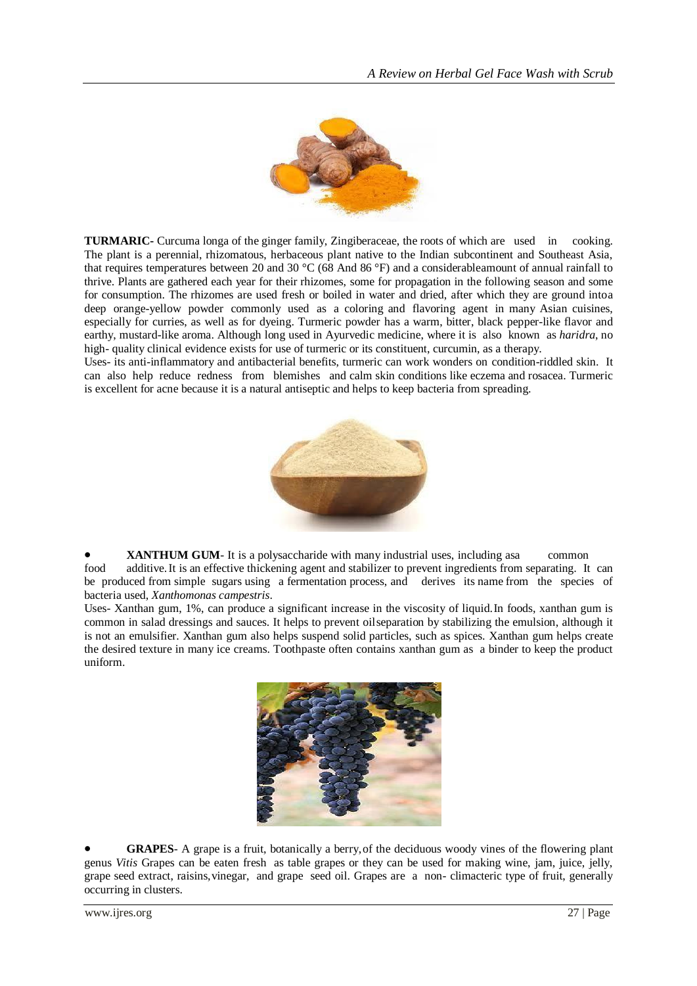

**TURMARIC-** Curcuma longa of the ginger family, Zingiberaceae, the roots of which are used in cooking. The plant is a perennial, rhizomatous, herbaceous plant native to the Indian subcontinent and Southeast Asia, that requires temperatures between 20 and 30 °C (68 And 86 °F) and a considerableamount of annual rainfall to thrive. Plants are gathered each year for their rhizomes, some for propagation in the following season and some for consumption. The rhizomes are used fresh or boiled in water and dried, after which they are ground intoa deep orange-yellow powder commonly used as a coloring and flavoring agent in many Asian cuisines, especially for curries, as well as for dyeing. Turmeric powder has a warm, bitter, black pepper-like flavor and earthy, mustard-like aroma. Although long used in Ayurvedic medicine, where it is also known as *haridra*, no high- quality clinical evidence exists for use of turmeric or its constituent, curcumin, as a therapy.

Uses- its anti-inflammatory and antibacterial benefits, turmeric can work wonders on condition-riddled skin. It can also help reduce redness from blemishes and calm skin conditions like eczema and rosacea. Turmeric is excellent for acne because it is a natural antiseptic and helps to keep bacteria from spreading.



**XANTHUM GUM**- It is a polysaccharide with many industrial uses, including asa common food additive.It is an effective thickening agent and stabilizer to prevent ingredients from separating. It can be produced from simple sugars using a fermentation process, and derives its name from the species of bacteria used, *Xanthomonas campestris*.

Uses- Xanthan gum, 1%, can produce a significant increase in the viscosity of liquid.In foods, xanthan gum is common in salad dressings and sauces. It helps to prevent oilseparation by stabilizing the emulsion, although it is not an emulsifier. Xanthan gum also helps suspend solid particles, such as spices. Xanthan gum helps create the desired texture in many ice creams. Toothpaste often contains xanthan gum as a binder to keep the product uniform.



 **GRAPES**- A grape is a fruit, botanically a berry,of the deciduous woody vines of the flowering plant genus *Vitis* Grapes can be eaten fresh as table grapes or they can be used for making wine, jam, juice, jelly, grape seed extract, raisins,vinegar, and grape seed oil. Grapes are a non- climacteric type of fruit, generally occurring in clusters.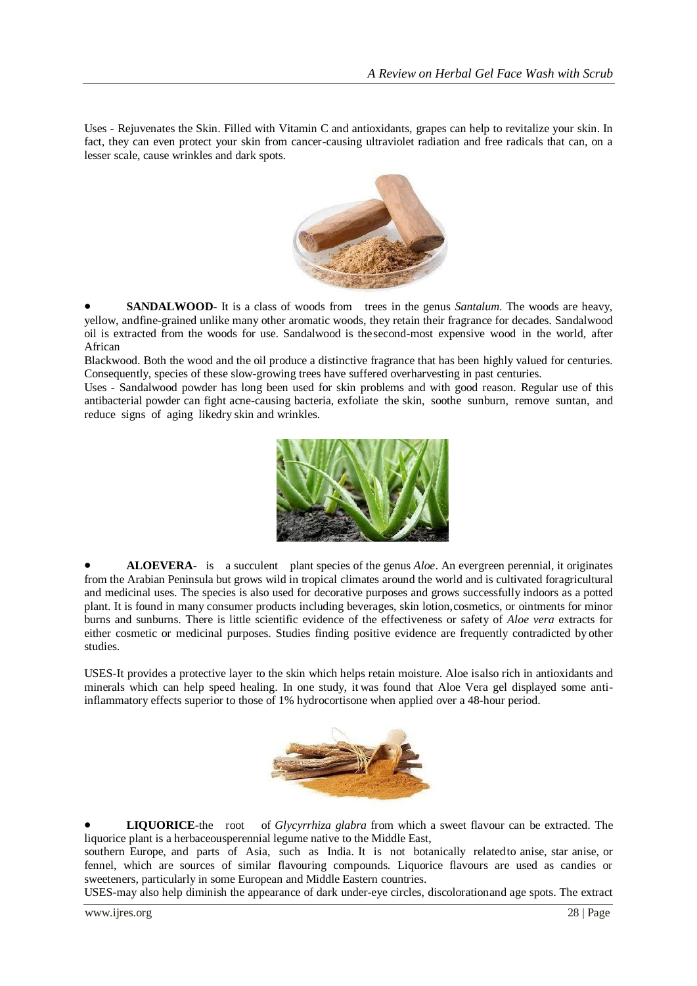Uses - Rejuvenates the Skin. Filled with Vitamin C and antioxidants, grapes can help to revitalize your skin. In fact, they can even protect your skin from cancer-causing ultraviolet radiation and free radicals that can, on a lesser scale, cause wrinkles and dark spots.



**SANDALWOOD**- It is a class of woods from trees in the genus *Santalum*. The woods are heavy, yellow, andfine-grained unlike many other aromatic woods, they retain their fragrance for decades. Sandalwood oil is extracted from the woods for use. Sandalwood is thesecond-most expensive wood in the world, after African

Blackwood. Both the wood and the oil produce a distinctive fragrance that has been highly valued for centuries. Consequently, species of these slow-growing trees have suffered overharvesting in past centuries.

Uses - Sandalwood powder has long been used for skin problems and with good reason. Regular use of this antibacterial powder can fight acne-causing bacteria, exfoliate the skin, soothe sunburn, remove suntan, and reduce signs of aging likedry skin and wrinkles.



 **ALOEVERA**- is a succulent plant species of the genus *Aloe*. An evergreen perennial, it originates from the Arabian Peninsula but grows wild in tropical climates around the world and is cultivated foragricultural and medicinal uses. The species is also used for decorative purposes and grows successfully indoors as a potted plant. It is found in many consumer products including beverages, skin lotion,cosmetics, or ointments for minor burns and sunburns. There is little scientific evidence of the effectiveness or safety of *Aloe vera* extracts for either cosmetic or medicinal purposes. Studies finding positive evidence are frequently contradicted by other studies.

USES-It provides a protective layer to the skin which helps retain moisture. Aloe isalso rich in antioxidants and minerals which can help speed healing. In one study, it was found that Aloe Vera gel displayed some antiinflammatory effects superior to those of 1% hydrocortisone when applied over a 48-hour period.



 **LIQUORICE**-the root of *Glycyrrhiza glabra* from which a sweet flavour can be extracted. The liquorice plant is a herbaceousperennial legume native to the Middle East,

southern Europe, and parts of Asia, such as India. It is not botanically related to anise, star anise, or fennel, which are sources of similar flavouring compounds. Liquorice flavours are used as candies or sweeteners, particularly in some European and Middle Eastern countries.

USES-may also help diminish the appearance of dark under-eye circles, discolorationand age spots. The extract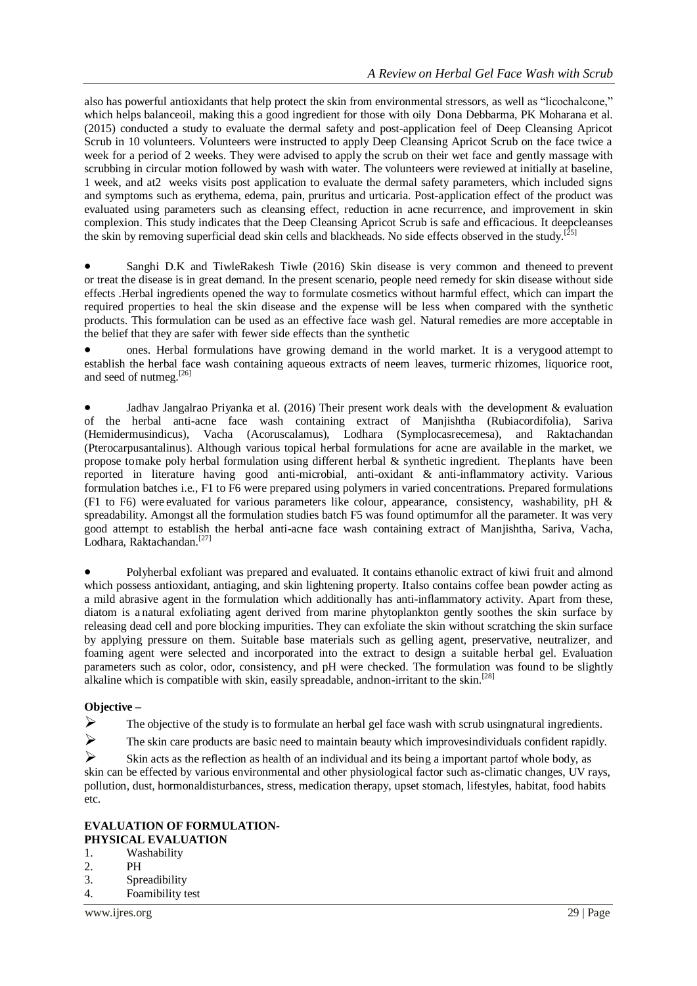also has powerful antioxidants that help protect the skin from environmental stressors, as well as "licochalcone," which helps balanceoil, making this a good ingredient for those with oily Dona Debbarma, PK Moharana et al. (2015) conducted a study to evaluate the dermal safety and post-application feel of Deep Cleansing Apricot Scrub in 10 volunteers. Volunteers were instructed to apply Deep Cleansing Apricot Scrub on the face twice a week for a period of 2 weeks. They were advised to apply the scrub on their wet face and gently massage with scrubbing in circular motion followed by wash with water. The volunteers were reviewed at initially at baseline, 1 week, and at2 weeks visits post application to evaluate the dermal safety parameters, which included signs and symptoms such as erythema, edema, pain, pruritus and urticaria. Post-application effect of the product was evaluated using parameters such as cleansing effect, reduction in acne recurrence, and improvement in skin complexion. This study indicates that the Deep Cleansing Apricot Scrub is safe and efficacious. It deepcleanses the skin by removing superficial dead skin cells and blackheads. No side effects observed in the study.<sup>[2</sup>]

 Sanghi D.K and TiwleRakesh Tiwle (2016) Skin disease is very common and theneed to prevent or treat the disease is in great demand. In the present scenario, people need remedy for skin disease without side effects .Herbal ingredients opened the way to formulate cosmetics without harmful effect, which can impart the required properties to heal the skin disease and the expense will be less when compared with the synthetic products. This formulation can be used as an effective face wash gel. Natural remedies are more acceptable in the belief that they are safer with fewer side effects than the synthetic

 ones. Herbal formulations have growing demand in the world market. It is a verygood attempt to establish the herbal face wash containing aqueous extracts of neem leaves, turmeric rhizomes, liquorice root, and seed of nutmeg.[26]

 Jadhav Jangalrao Priyanka et al. (2016) Their present work deals with the development & evaluation of the herbal anti-acne face wash containing extract of Manjishtha (Rubiacordifolia), Sariva (Hemidermusindicus), Vacha (Acoruscalamus), Lodhara (Symplocasrecemesa), and Raktachandan (Pterocarpusantalinus). Although various topical herbal formulations for acne are available in the market, we propose tomake poly herbal formulation using different herbal & synthetic ingredient. Theplants have been reported in literature having good anti-microbial, anti-oxidant & anti-inflammatory activity. Various formulation batches i.e., F1 to F6 were prepared using polymers in varied concentrations. Prepared formulations (F1 to F6) were evaluated for various parameters like colour, appearance, consistency, washability, pH & spreadability. Amongst all the formulation studies batch F5 was found optimumfor all the parameter. It was very good attempt to establish the herbal anti-acne face wash containing extract of Manjishtha, Sariva, Vacha, Lodhara, Raktachandan.<sup>[27]</sup>

 Polyherbal exfoliant was prepared and evaluated. It contains ethanolic extract of kiwi fruit and almond which possess antioxidant, antiaging, and skin lightening property. Italso contains coffee bean powder acting as a mild abrasive agent in the formulation which additionally has anti-inflammatory activity. Apart from these, diatom is a natural exfoliating agent derived from marine phytoplankton gently soothes the skin surface by releasing dead cell and pore blocking impurities. They can exfoliate the skin without scratching the skin surface by applying pressure on them. Suitable base materials such as gelling agent, preservative, neutralizer, and foaming agent were selected and incorporated into the extract to design a suitable herbal gel. Evaluation parameters such as color, odor, consistency, and pH were checked. The formulation was found to be slightly alkaline which is compatible with skin, easily spreadable, andnon-irritant to the skin.<sup>[28]</sup>

#### **Objective –**

 $\triangleright$  The objective of the study is to formulate an herbal gel face wash with scrub usingnatural ingredients.

 $\triangleright$  The skin care products are basic need to maintain beauty which improves individuals confident rapidly.

 $\triangleright$  Skin acts as the reflection as health of an individual and its being a important partof whole body, as skin can be effected by various environmental and other physiological factor such as-climatic changes, UV rays, pollution, dust, hormonaldisturbances, stress, medication therapy, upset stomach, lifestyles, habitat, food habits etc.

#### **EVALUATION OF FORMULATION**-**PHYSICAL EVALUATION**

- 1. Washability
- $2$  PH
- 3. Spreadibility
- 4. Foamibility test